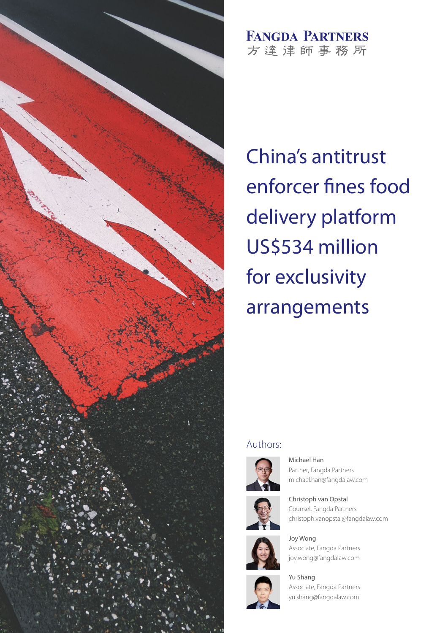

**FANGDA PARTNERS** 方達津師事務所

China's antitrust enforcer fines food delivery platform US\$534 million for exclusivity arrangements

### Authors:







Christoph van Opstal Counsel, Fangda Partners christoph.vanopstal@fangdalaw.com



Joy Wong Associate, Fangda Partners joy.wong@fangdalaw.com



Yu Shang Associate, Fangda Partners yu.shang@fangdalaw.com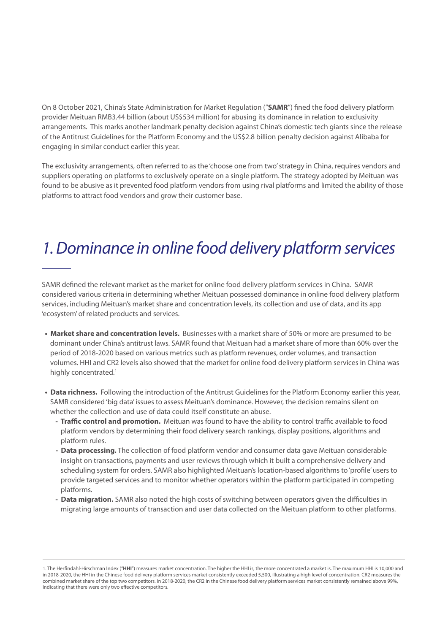On 8 October 2021, China's State Administration for Market Regulation ("**SAMR**") fined the food delivery platform provider Meituan RMB3.44 billion (about US\$534 million) for abusing its dominance in relation to exclusivity arrangements. This marks another landmark penalty decision against China's domestic tech giants since the release of the Antitrust Guidelines for the Platform Economy and the US\$2.8 billion penalty decision against Alibaba for engaging in similar conduct earlier this year.

The exclusivity arrangements, often referred to as the 'choose one from two' strategy in China, requires vendors and suppliers operating on platforms to exclusively operate on a single platform. The strategy adopted by Meituan was found to be abusive as it prevented food platform vendors from using rival platforms and limited the ability of those platforms to attract food vendors and grow their customer base.

# *1. Dominance in online food delivery platform services*

SAMR defined the relevant market as the market for online food delivery platform services in China. SAMR considered various criteria in determining whether Meituan possessed dominance in online food delivery platform services, including Meituan's market share and concentration levels, its collection and use of data, and its app 'ecosystem' of related products and services.

- **Market share and concentration levels.** Businesses with a market share of 50% or more are presumed to be dominant under China's antitrust laws. SAMR found that Meituan had a market share of more than 60% over the period of 2018-2020 based on various metrics such as platform revenues, order volumes, and transaction volumes. HHI and CR2 levels also showed that the market for online food delivery platform services in China was highly concentrated.<sup>1</sup>
- **Data richness.** Following the introduction of the Antitrust Guidelines for the Platform Economy earlier this year, SAMR considered 'big data' issues to assess Meituan's dominance. However, the decision remains silent on whether the collection and use of data could itself constitute an abuse.
	- **Traffic control and promotion.** Meituan was found to have the ability to control traffic available to food platform vendors by determining their food delivery search rankings, display positions, algorithms and platform rules.
	- **Data processing.** The collection of food platform vendor and consumer data gave Meituan considerable insight on transactions, payments and user reviews through which it built a comprehensive delivery and scheduling system for orders. SAMR also highlighted Meituan's location-based algorithms to 'profile' users to provide targeted services and to monitor whether operators within the platform participated in competing platforms.
	- **Data migration.** SAMR also noted the high costs of switching between operators given the difficulties in migrating large amounts of transaction and user data collected on the Meituan platform to other platforms.

<sup>1.</sup> The Herfindahl-Hirschman Index ("**HHI**") measures market concentration. The higher the HHI is, the more concentrated a market is. The maximum HHI is 10,000 and in 2018-2020, the HHI in the Chinese food delivery platform services market consistently exceeded 5,500, illustrating a high level of concentration. CR2 measures the combined market share of the top two competitors. In 2018-2020, the CR2 in the Chinese food delivery platform services market consistently remained above 99%, indicating that there were only two effective competitors.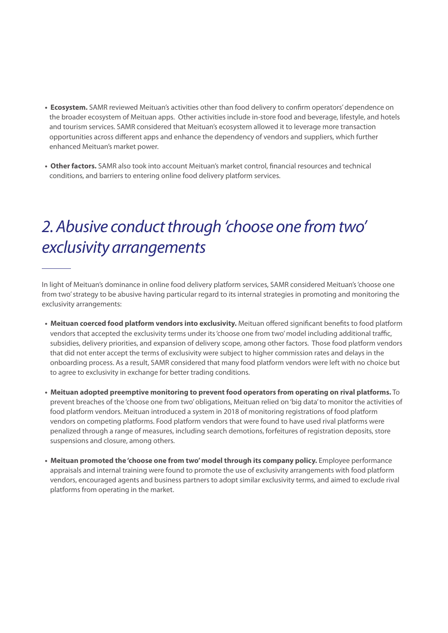- **Ecosystem.** SAMR reviewed Meituan's activities other than food delivery to confirm operators' dependence on the broader ecosystem of Meituan apps. Other activities include in-store food and beverage, lifestyle, and hotels and tourism services. SAMR considered that Meituan's ecosystem allowed it to leverage more transaction opportunities across different apps and enhance the dependency of vendors and suppliers, which further enhanced Meituan's market power.
- **Other factors.** SAMR also took into account Meituan's market control, financial resources and technical conditions, and barriers to entering online food delivery platform services.

# *2. Abusive conduct through 'choose one from two' exclusivity arrangements*

In light of Meituan's dominance in online food delivery platform services, SAMR considered Meituan's 'choose one from two' strategy to be abusive having particular regard to its internal strategies in promoting and monitoring the exclusivity arrangements:

- **Meituan coerced food platform vendors into exclusivity.** Meituan offered significant benefits to food platform vendors that accepted the exclusivity terms under its 'choose one from two' model including additional traffic, subsidies, delivery priorities, and expansion of delivery scope, among other factors. Those food platform vendors that did not enter accept the terms of exclusivity were subject to higher commission rates and delays in the onboarding process. As a result, SAMR considered that many food platform vendors were left with no choice but to agree to exclusivity in exchange for better trading conditions.
- **Meituan adopted preemptive monitoring to prevent food operators from operating on rival platforms.** To prevent breaches of the 'choose one from two' obligations, Meituan relied on 'big data' to monitor the activities of food platform vendors. Meituan introduced a system in 2018 of monitoring registrations of food platform vendors on competing platforms. Food platform vendors that were found to have used rival platforms were penalized through a range of measures, including search demotions, forfeitures of registration deposits, store suspensions and closure, among others.
- **Meituan promoted the 'choose one from two' model through its company policy.** Employee performance appraisals and internal training were found to promote the use of exclusivity arrangements with food platform vendors, encouraged agents and business partners to adopt similar exclusivity terms, and aimed to exclude rival platforms from operating in the market.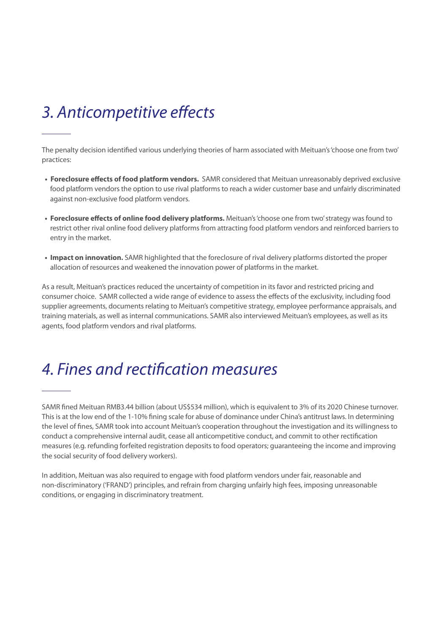# *3. Anticompetitive effects*

The penalty decision identified various underlying theories of harm associated with Meituan's 'choose one from two' practices:

- **Foreclosure effects of food platform vendors.** SAMR considered that Meituan unreasonably deprived exclusive food platform vendors the option to use rival platforms to reach a wider customer base and unfairly discriminated against non-exclusive food platform vendors.
- **Foreclosure effects of online food delivery platforms.** Meituan's 'choose one from two' strategy was found to restrict other rival online food delivery platforms from attracting food platform vendors and reinforced barriers to entry in the market.
- **Impact on innovation.** SAMR highlighted that the foreclosure of rival delivery platforms distorted the proper allocation of resources and weakened the innovation power of platforms in the market.

As a result, Meituan's practices reduced the uncertainty of competition in its favor and restricted pricing and consumer choice. SAMR collected a wide range of evidence to assess the effects of the exclusivity, including food supplier agreements, documents relating to Meituan's competitive strategy, employee performance appraisals, and training materials, as well as internal communications. SAMR also interviewed Meituan's employees, as well as its agents, food platform vendors and rival platforms.

## *4. Fines and rectification measures*

SAMR fined Meituan RMB3.44 billion (about US\$534 million), which is equivalent to 3% of its 2020 Chinese turnover. This is at the low end of the 1-10% fining scale for abuse of dominance under China's antitrust laws. In determining the level of fines, SAMR took into account Meituan's cooperation throughout the investigation and its willingness to conduct a comprehensive internal audit, cease all anticompetitive conduct, and commit to other rectification measures (e.g. refunding forfeited registration deposits to food operators; guaranteeing the income and improving the social security of food delivery workers).

In addition, Meituan was also required to engage with food platform vendors under fair, reasonable and non-discriminatory ('FRAND') principles, and refrain from charging unfairly high fees, imposing unreasonable conditions, or engaging in discriminatory treatment.